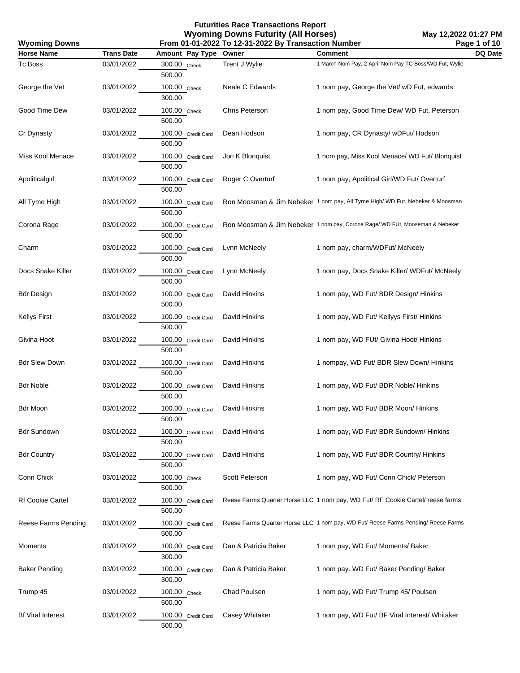| <b>Wyoming Downs</b>     | From 01-01-2022 To 12-31-2022 By Transaction Number |                              |                      |                                                                                   | Page 1 of 10 |
|--------------------------|-----------------------------------------------------|------------------------------|----------------------|-----------------------------------------------------------------------------------|--------------|
| <b>Horse Name</b>        | <b>Trans Date</b>                                   | Amount Pay Type              | Owner                | <b>Comment</b>                                                                    | DQ Date      |
| Tc Boss                  | 03/01/2022                                          | 300.00 Check<br>500.00       | Trent J Wylie        | 1 March Nom Pay, 2 April Nom Pay TC Boss/WD Fut, Wylie                            |              |
| George the Vet           | 03/01/2022                                          | 100.00 Check<br>300.00       | Neale C Edwards      | 1 nom pay, George the Vet/ wD Fut, edwards                                        |              |
| Good Time Dew            | 03/01/2022                                          | 100.00 Check<br>500.00       | Chris Peterson       | 1 nom pay, Good Time Dew/ WD Fut, Peterson                                        |              |
| Cr Dynasty               | 03/01/2022                                          | 100.00 Credit Card<br>500.00 | Dean Hodson          | 1 nom pay, CR Dynasty/ wDFut/ Hodson                                              |              |
| Miss Kool Menace         | 03/01/2022                                          | 100.00 Credit Card<br>500.00 | Jon K Blonquist      | 1 nom pay, Miss Kool Menace/ WD Fut/ Blonquist                                    |              |
| Apoliticalgirl           | 03/01/2022                                          | 100.00 Credit Card<br>500.00 | Roger C Overturf     | 1 nom pay, Apolitical Girl/WD Fut/ Overturf                                       |              |
| All Tyme High            | 03/01/2022                                          | 100.00 Credit Card<br>500.00 |                      | Ron Moosman & Jim Nebeker 1 nom pay, All Tyme High/ WD Fut, Nebeker & Moosman     |              |
| Corona Rage              | 03/01/2022                                          | 100.00 Credit Card<br>500.00 |                      | Ron Moosman & Jim Nebeker 1 nom pay, Corona Rage/ WD FUt, Mooseman & Nebeker      |              |
| Charm                    | 03/01/2022                                          | 100.00 Credit Card<br>500.00 | Lynn McNeely         | 1 nom pay, charm/WDFut/ McNeely                                                   |              |
| Docs Snake Killer        | 03/01/2022                                          | 100.00 Credit Card<br>500.00 | Lynn McNeely         | 1 nom pay, Docs Snake Killer/ WDFut/ McNeely                                      |              |
| <b>Bdr Design</b>        | 03/01/2022                                          | 100.00 Credit Card<br>500.00 | David Hinkins        | 1 nom pay, WD Fut/ BDR Design/ Hinkins                                            |              |
| <b>Kellys First</b>      | 03/01/2022                                          | 100.00 Credit Card<br>500.00 | David Hinkins        | 1 nom pay, WD Fut/ Kellyys First/ Hinkins                                         |              |
| Givina Hoot              | 03/01/2022                                          | 100.00 Credit Card<br>500.00 | David Hinkins        | 1 nom pay, WD FUt/ Givina Hoot/ Hinkins                                           |              |
| <b>Bdr Slew Down</b>     | 03/01/2022                                          | 100.00 Credit Card<br>500.00 | David Hinkins        | 1 nompay, WD Fut/ BDR Slew Down/ Hinkins                                          |              |
| <b>Bdr Noble</b>         | 03/01/2022                                          | 100.00 Credit Card<br>500.00 | David Hinkins        | 1 nom pay, WD Fut/ BDR Noble/ Hinkins                                             |              |
| Bdr Moon                 | 03/01/2022                                          | 100.00 Credit Card<br>500.00 | David Hinkins        | 1 nom pay, WD Fut/ BDR Moon/ Hinkins                                              |              |
| <b>Bdr Sundown</b>       | 03/01/2022                                          | 100.00 Credit Card<br>500.00 | David Hinkins        | 1 nom pay, WD Fut/ BDR Sundown/ Hinkins                                           |              |
| <b>Bdr Country</b>       | 03/01/2022                                          | 100.00 Credit Card<br>500.00 | David Hinkins        | 1 nom pay, WD Fut/ BDR Country/ Hinkins                                           |              |
| Conn Chick               | 03/01/2022                                          | 100.00 Check<br>500.00       | Scott Peterson       | 1 nom pay, WD Fut/ Conn Chick/ Peterson                                           |              |
| <b>Rf Cookie Cartel</b>  | 03/01/2022                                          | 100.00 Credit Card<br>500.00 |                      | Reese Farms Quarter Horse LLC 1 nom pay, WD Fut/ RF Cookie Cartel/ reese farms    |              |
| Reese Farms Pending      | 03/01/2022                                          | 100.00 Credit Card<br>500.00 |                      | Reese Farms Quarter Horse LLC 1 nom pay, WD Fut/ Reese Farms Pending/ Reese Farms |              |
| Moments                  | 03/01/2022                                          | 100.00 Credit Card<br>300.00 | Dan & Patricia Baker | 1 nom pay, WD Fut/ Moments/ Baker                                                 |              |
| <b>Baker Pending</b>     | 03/01/2022                                          | 100.00 Credit Card<br>300.00 | Dan & Patricia Baker | 1 nom pay. WD Fut/ Baker Pending/ Baker                                           |              |
| Trump 45                 | 03/01/2022                                          | 100.00 Check<br>500.00       | Chad Poulsen         | 1 nom pay, WD Fut/ Trump 45/ Poulsen                                              |              |
| <b>Bf Viral Interest</b> | 03/01/2022                                          | 100.00 Credit Card<br>500.00 | Casey Whitaker       | 1 nom pay, WD Fut/ BF Viral Interest/ Whitaker                                    |              |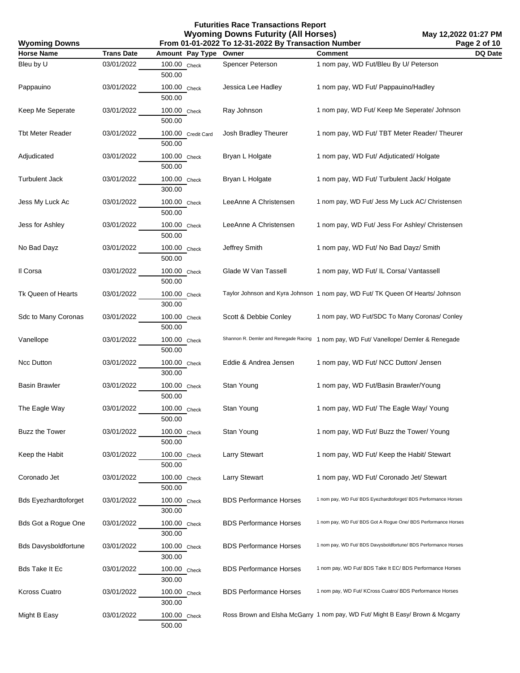| <b>Wyoming Downs</b>        |                   |                              | From 01-01-2022 To 12-31-2022 By Transaction Number |                                                                                | Page 2 of 10 |
|-----------------------------|-------------------|------------------------------|-----------------------------------------------------|--------------------------------------------------------------------------------|--------------|
| <b>Horse Name</b>           | <b>Trans Date</b> | Amount Pay Type              | Owner                                               | <b>Comment</b>                                                                 | DQ Date      |
| Bleu by U                   | 03/01/2022        | 100.00 Check<br>500.00       | Spencer Peterson                                    | 1 nom pay, WD Fut/Bleu By U/ Peterson                                          |              |
| Pappauino                   | 03/01/2022        | 100.00 Check<br>500.00       | Jessica Lee Hadley                                  | 1 nom pay, WD Fut/ Pappauino/Hadley                                            |              |
| Keep Me Seperate            | 03/01/2022        | 100.00 Check<br>500.00       | Ray Johnson                                         | 1 nom pay, WD Fut/ Keep Me Seperate/ Johnson                                   |              |
| <b>Tbt Meter Reader</b>     | 03/01/2022        | 100.00 Credit Card<br>500.00 | Josh Bradley Theurer                                | 1 nom pay, WD Fut/ TBT Meter Reader/ Theurer                                   |              |
| Adjudicated                 | 03/01/2022        | 100.00 Check<br>500.00       | Bryan L Holgate                                     | 1 nom pay, WD Fut/ Adjuticated/ Holgate                                        |              |
| <b>Turbulent Jack</b>       | 03/01/2022        | 100.00 Check<br>300.00       | Bryan L Holgate                                     | 1 nom pay, WD Fut/ Turbulent Jack/ Holgate                                     |              |
| Jess My Luck Ac             | 03/01/2022        | 100.00 Check<br>500.00       | LeeAnne A Christensen                               | 1 nom pay, WD Fut/ Jess My Luck AC/ Christensen                                |              |
| Jess for Ashley             | 03/01/2022        | 100.00 Check<br>500.00       | LeeAnne A Christensen                               | 1 nom pay, WD Fut/ Jess For Ashley/ Christensen                                |              |
| No Bad Dayz                 | 03/01/2022        | 100.00 Check<br>500.00       | Jeffrey Smith                                       | 1 nom pay, WD Fut/ No Bad Dayz/ Smith                                          |              |
| Il Corsa                    | 03/01/2022        | 100.00 Check<br>500.00       | Glade W Van Tassell                                 | 1 nom pay, WD Fut/ IL Corsa/ Vantassell                                        |              |
| Tk Queen of Hearts          | 03/01/2022        | 100.00 Check<br>300.00       |                                                     | Taylor Johnson and Kyra Johnson 1 nom pay, WD Fut/ TK Queen Of Hearts/ Johnson |              |
| Sdc to Many Coronas         | 03/01/2022        | 100.00 Check<br>500.00       | Scott & Debbie Conley                               | 1 nom pay, WD Fut/SDC To Many Coronas/ Conley                                  |              |
| Vanellope                   | 03/01/2022        | 100.00 Check<br>500.00       | Shannon R. Demler and Renegade Racing               | 1 nom pay, WD Fut/ Vanellope/ Demler & Renegade                                |              |
| Ncc Dutton                  | 03/01/2022        | 100.00 Check<br>300.00       | Eddie & Andrea Jensen                               | 1 nom pay, WD Fut/ NCC Dutton/ Jensen                                          |              |
| <b>Basin Brawler</b>        | 03/01/2022        | 100.00 Check<br>500.00       | Stan Young                                          | 1 nom pay, WD Fut/Basin Brawler/Young                                          |              |
| The Eagle Way               | 03/01/2022        | 100.00 Check<br>500.00       | Stan Young                                          | 1 nom pay, WD Fut/ The Eagle Way/ Young                                        |              |
| Buzz the Tower              | 03/01/2022        | 100.00 Check<br>500.00       | Stan Young                                          | 1 nom pay, WD Fut/ Buzz the Tower/ Young                                       |              |
| Keep the Habit              | 03/01/2022        | 100.00 Check<br>500.00       | <b>Larry Stewart</b>                                | 1 nom pay, WD Fut/ Keep the Habit/ Stewart                                     |              |
| Coronado Jet                | 03/01/2022        | 100.00 Check<br>500.00       | <b>Larry Stewart</b>                                | 1 nom pay, WD Fut/ Coronado Jet/ Stewart                                       |              |
| <b>Bds Eyezhardtoforget</b> | 03/01/2022        | 100.00 Check<br>300.00       | <b>BDS Performance Horses</b>                       | 1 nom pay, WD Fut/ BDS Eyezhardtoforget/ BDS Performance Horses                |              |
| <b>Bds Got a Rogue One</b>  | 03/01/2022        | 100.00 Check<br>300.00       | <b>BDS Performance Horses</b>                       | 1 nom pay, WD Fut/ BDS Got A Rogue One/ BDS Performance Horses                 |              |
| <b>Bds Davysboldfortune</b> | 03/01/2022        | 100.00 Check<br>300.00       | <b>BDS Performance Horses</b>                       | 1 nom pay, WD Fut/ BDS Davysboldfortune/ BDS Performance Horses                |              |
| <b>Bds Take It Ec</b>       | 03/01/2022        | 100.00 Check<br>300.00       | <b>BDS Performance Horses</b>                       | 1 nom pay, WD Fut/ BDS Take It EC/ BDS Performance Horses                      |              |
| <b>Kcross Cuatro</b>        | 03/01/2022        | 100.00 Check<br>300.00       | <b>BDS Performance Horses</b>                       | 1 nom pay, WD Fut/ KCross Cuatro/ BDS Performance Horses                       |              |
| Might B Easy                | 03/01/2022        | 100.00 Check<br>500.00       |                                                     | Ross Brown and Elsha McGarry 1 nom pay, WD Fut/ Might B Easy/ Brown & Mcgarry  |              |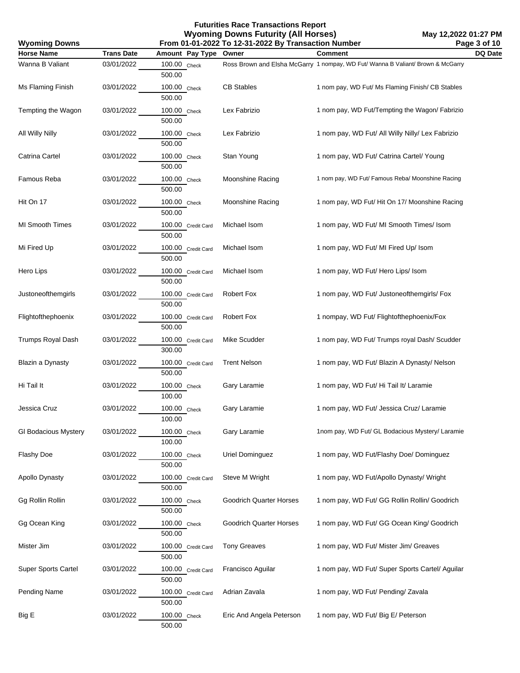| <b>Wyoming Downs</b>        |                   |                              | From 01-01-2022 To 12-31-2022 By Transaction Number |                                                                                 | Page 3 of 10 |
|-----------------------------|-------------------|------------------------------|-----------------------------------------------------|---------------------------------------------------------------------------------|--------------|
| <b>Horse Name</b>           | <b>Trans Date</b> | Amount Pay Type              | Owner                                               | <b>Comment</b>                                                                  | DQ Date      |
| Wanna B Valiant             | 03/01/2022        | 100.00 Check<br>500.00       |                                                     | Ross Brown and Elsha McGarry 1 nompay, WD Fut/ Wanna B Valiant/ Brown & McGarry |              |
| Ms Flaming Finish           | 03/01/2022        | 100.00 Check<br>500.00       | <b>CB Stables</b>                                   | 1 nom pay, WD Fut/ Ms Flaming Finish/ CB Stables                                |              |
| Tempting the Wagon          | 03/01/2022        | 100.00 Check<br>500.00       | Lex Fabrizio                                        | 1 nom pay, WD Fut/Tempting the Wagon/ Fabrizio                                  |              |
| All Willy Nilly             | 03/01/2022        | 100.00 Check<br>500.00       | Lex Fabrizio                                        | 1 nom pay, WD Fut/ All Willy Nilly/ Lex Fabrizio                                |              |
| Catrina Cartel              | 03/01/2022        | 100.00 Check<br>500.00       | Stan Young                                          | 1 nom pay, WD Fut/ Catrina Cartel/ Young                                        |              |
| Famous Reba                 | 03/01/2022        | 100.00 Check<br>500.00       | Moonshine Racing                                    | 1 nom pay, WD Fut/ Famous Reba/ Moonshine Racing                                |              |
| Hit On 17                   | 03/01/2022        | 100.00 Check<br>500.00       | Moonshine Racing                                    | 1 nom pay, WD Fut/ Hit On 17/ Moonshine Racing                                  |              |
| <b>MI Smooth Times</b>      | 03/01/2022        | 100.00 Credit Card<br>500.00 | Michael Isom                                        | 1 nom pay, WD Fut/ MI Smooth Times/ Isom                                        |              |
| Mi Fired Up                 | 03/01/2022        | 100.00 Credit Card<br>500.00 | Michael Isom                                        | 1 nom pay, WD Fut/ MI Fired Up/ Isom                                            |              |
| Hero Lips                   | 03/01/2022        | 100.00 Credit Card<br>500.00 | Michael Isom                                        | 1 nom pay, WD Fut/ Hero Lips/ Isom                                              |              |
| Justoneofthemgirls          | 03/01/2022        | 100.00 Credit Card<br>500.00 | Robert Fox                                          | 1 nom pay, WD Fut/ Justoneofthemgirls/ Fox                                      |              |
| Flightofthephoenix          | 03/01/2022        | 100.00 Credit Card<br>500.00 | Robert Fox                                          | 1 nompay, WD Fut/ Flightofthephoenix/Fox                                        |              |
| <b>Trumps Royal Dash</b>    | 03/01/2022        | 100.00 Credit Card<br>300.00 | Mike Scudder                                        | 1 nom pay, WD Fut/ Trumps royal Dash/ Scudder                                   |              |
| Blazin a Dynasty            | 03/01/2022        | 100.00 Credit Card<br>500.00 | <b>Trent Nelson</b>                                 | 1 nom pay, WD Fut/ Blazin A Dynasty/ Nelson                                     |              |
| Hi Tail It                  | 03/01/2022        | 100.00 Check<br>100.00       | Gary Laramie                                        | 1 nom pay, WD Fut/ Hi Tail It/ Laramie                                          |              |
| Jessica Cruz                | 03/01/2022        | 100.00 Check<br>100.00       | Gary Laramie                                        | 1 nom pay, WD Fut/ Jessica Cruz/ Laramie                                        |              |
| <b>GI Bodacious Mystery</b> | 03/01/2022        | 100.00 Check<br>100.00       | Gary Laramie                                        | 1nom pay, WD Fut/ GL Bodacious Mystery/ Laramie                                 |              |
| <b>Flashy Doe</b>           | 03/01/2022        | 100.00 Check<br>500.00       | Uriel Dominguez                                     | 1 nom pay, WD Fut/Flashy Doe/ Dominguez                                         |              |
| Apollo Dynasty              | 03/01/2022        | 100.00 Credit Card<br>500.00 | Steve M Wright                                      | 1 nom pay, WD Fut/Apollo Dynasty/ Wright                                        |              |
| Gg Rollin Rollin            | 03/01/2022        | 100.00 Check<br>500.00       | Goodrich Quarter Horses                             | 1 nom pay, WD Fut/ GG Rollin Rollin/ Goodrich                                   |              |
| Gg Ocean King               | 03/01/2022        | 100.00 Check<br>500.00       | Goodrich Quarter Horses                             | 1 nom pay, WD Fut/ GG Ocean King/ Goodrich                                      |              |
| Mister Jim                  | 03/01/2022        | 100.00 Credit Card<br>500.00 | <b>Tony Greaves</b>                                 | 1 nom pay, WD Fut/ Mister Jim/ Greaves                                          |              |
| <b>Super Sports Cartel</b>  | 03/01/2022        | 100.00 Credit Card<br>500.00 | Francisco Aguilar                                   | 1 nom pay, WD Fut/ Super Sports Cartel/ Aguilar                                 |              |
| <b>Pending Name</b>         | 03/01/2022        | 100.00 Credit Card<br>500.00 | Adrian Zavala                                       | 1 nom pay, WD Fut/ Pending/ Zavala                                              |              |
| Big E                       | 03/01/2022        | 100.00 Check<br>500.00       | Eric And Angela Peterson                            | 1 nom pay, WD Fut/ Big E/ Peterson                                              |              |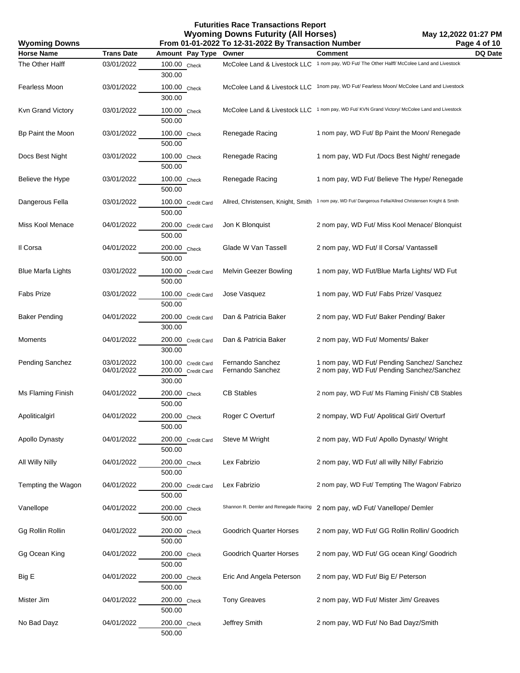| <b>Wyoming Downs</b> | From 01-01-2022 To 12-31-2022 By Transaction Number<br>Page 4 of 10 |                                                    |                                       |                                                                                                         |         |
|----------------------|---------------------------------------------------------------------|----------------------------------------------------|---------------------------------------|---------------------------------------------------------------------------------------------------------|---------|
| <b>Horse Name</b>    | <b>Trans Date</b>                                                   | Amount Pay Type                                    | Owner                                 | Comment                                                                                                 | DQ Date |
| The Other Halff      | 03/01/2022                                                          | 100.00 Check<br>300.00                             |                                       | McColee Land & Livestock LLC 1 nom pay, WD Fut/ The Other Halff/ McColee Land and Livestock             |         |
| Fearless Moon        | 03/01/2022                                                          | 100.00 Check<br>300.00                             |                                       | McColee Land & Livestock LLC 1nom pay, WD Fut/ Fearless Moon/ McColee Land and Livestock                |         |
| Kvn Grand Victory    | 03/01/2022                                                          | 100.00 Check<br>500.00                             |                                       | McColee Land & Livestock LLC 1 nom pay, WD Fut/KVN Grand Victory/McColee Land and Livestock             |         |
| Bp Paint the Moon    | 03/01/2022                                                          | 100.00 Check<br>500.00                             | Renegade Racing                       | 1 nom pay, WD Fut/ Bp Paint the Moon/ Renegade                                                          |         |
| Docs Best Night      | 03/01/2022                                                          | 100.00 Check<br>500.00                             | Renegade Racing                       | 1 nom pay, WD Fut /Docs Best Night/ renegade                                                            |         |
| Believe the Hype     | 03/01/2022                                                          | 100.00 Check<br>500.00                             | Renegade Racing                       | 1 nom pay, WD Fut/ Believe The Hype/ Renegade                                                           |         |
| Dangerous Fella      | 03/01/2022                                                          | 100.00 Credit Card<br>500.00                       |                                       | Allred, Christensen, Knight, Smith 1 nom pay, WD Fut/ Dangerous Fella/Allred Christensen Knight & Smith |         |
| Miss Kool Menace     | 04/01/2022                                                          | 200.00 Credit Card<br>500.00                       | Jon K Blonquist                       | 2 nom pay, WD Fut/ Miss Kool Menace/ Blonquist                                                          |         |
| Il Corsa             | 04/01/2022                                                          | 200.00 Check<br>500.00                             | Glade W Van Tassell                   | 2 nom pay, WD Fut/ II Corsa/ Vantassell                                                                 |         |
| Blue Marfa Lights    | 03/01/2022                                                          | 100.00 Credit Card<br>500.00                       | Melvin Geezer Bowling                 | 1 nom pay, WD Fut/Blue Marfa Lights/ WD Fut                                                             |         |
| Fabs Prize           | 03/01/2022                                                          | 100.00 Credit Card<br>500.00                       | Jose Vasquez                          | 1 nom pay, WD Fut/ Fabs Prize/ Vasquez                                                                  |         |
| <b>Baker Pending</b> | 04/01/2022                                                          | 200.00 Credit Card<br>300.00                       | Dan & Patricia Baker                  | 2 nom pay, WD Fut/ Baker Pending/ Baker                                                                 |         |
| Moments              | 04/01/2022                                                          | 200.00 Credit Card<br>300.00                       | Dan & Patricia Baker                  | 2 nom pay, WD Fut/ Moments/ Baker                                                                       |         |
| Pending Sanchez      | 03/01/2022<br>04/01/2022                                            | 100.00 Credit Card<br>200.00 Credit Card<br>300.00 | Fernando Sanchez<br>Fernando Sanchez  | 1 nom pay, WD Fut/ Pending Sanchez/ Sanchez<br>2 nom pay, WD Fut/ Pending Sanchez/Sanchez               |         |
| Ms Flaming Finish    | 04/01/2022                                                          | 200.00 Check<br>500.00                             | <b>CB Stables</b>                     | 2 nom pay, WD Fut/ Ms Flaming Finish/ CB Stables                                                        |         |
| Apoliticalgirl       | 04/01/2022                                                          | 200.00 Check<br>500.00                             | Roger C Overturf                      | 2 nompay, WD Fut/ Apolitical Girl/ Overturf                                                             |         |
| Apollo Dynasty       | 04/01/2022                                                          | 200.00 Credit Card<br>500.00                       | Steve M Wright                        | 2 nom pay, WD Fut/ Apollo Dynasty/ Wright                                                               |         |
| All Willy Nilly      | 04/01/2022                                                          | 200.00 Check<br>500.00                             | Lex Fabrizio                          | 2 nom pay, WD Fut/ all willy Nilly/ Fabrizio                                                            |         |
| Tempting the Wagon   | 04/01/2022                                                          | 200.00 Credit Card<br>500.00                       | Lex Fabrizio                          | 2 nom pay, WD Fut/ Tempting The Wagon/ Fabrizo                                                          |         |
| Vanellope            | 04/01/2022                                                          | 200.00 Check<br>500.00                             | Shannon R. Demler and Renegade Racing | 2 nom pay, wD Fut/ Vanellope/ Demler                                                                    |         |
| Gg Rollin Rollin     | 04/01/2022                                                          | 200.00 Check<br>500.00                             | Goodrich Quarter Horses               | 2 nom pay, WD Fut/ GG Rollin Rollin/ Goodrich                                                           |         |
| Gg Ocean King        | 04/01/2022                                                          | 200.00 Check<br>500.00                             | <b>Goodrich Quarter Horses</b>        | 2 nom pay, WD Fut/ GG ocean King/ Goodrich                                                              |         |
| Big E                | 04/01/2022                                                          | 200.00 Check<br>500.00                             | Eric And Angela Peterson              | 2 nom pay, WD Fut/ Big E/ Peterson                                                                      |         |
| Mister Jim           | 04/01/2022                                                          | 200.00 Check<br>500.00                             | <b>Tony Greaves</b>                   | 2 nom pay, WD Fut/ Mister Jim/ Greaves                                                                  |         |
| No Bad Dayz          | 04/01/2022                                                          | 200.00 Check<br>500.00                             | Jeffrey Smith                         | 2 nom pay, WD Fut/ No Bad Dayz/Smith                                                                    |         |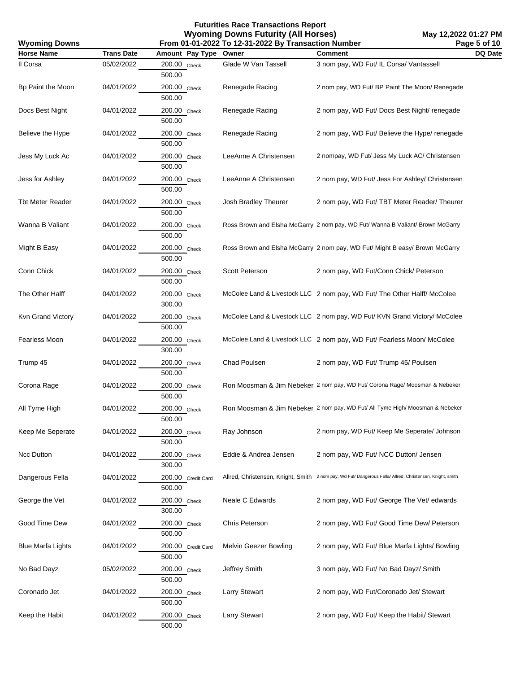| <b>Wyoming Downs</b><br>From 01-01-2022 To 12-31-2022 By Transaction Number |                   |                              |                       | Page 5 of 10                                                                                              |         |
|-----------------------------------------------------------------------------|-------------------|------------------------------|-----------------------|-----------------------------------------------------------------------------------------------------------|---------|
| <b>Horse Name</b>                                                           | <b>Trans Date</b> | Amount Pay Type              | Owner                 | <b>Comment</b>                                                                                            | DQ Date |
| Il Corsa                                                                    | 05/02/2022        | 200.00 Check<br>500.00       | Glade W Van Tassell   | 3 nom pay, WD Fut/ IL Corsa/ Vantassell                                                                   |         |
| Bp Paint the Moon                                                           | 04/01/2022        | 200.00 Check<br>500.00       | Renegade Racing       | 2 nom pay, WD Fut/ BP Paint The Moon/ Renegade                                                            |         |
| Docs Best Night                                                             | 04/01/2022        | 200.00 Check<br>500.00       | Renegade Racing       | 2 nom pay, WD Fut/ Docs Best Night/ renegade                                                              |         |
| Believe the Hype                                                            | 04/01/2022        | $200.00$ Check<br>500.00     | Renegade Racing       | 2 nom pay, WD Fut/ Believe the Hype/ renegade                                                             |         |
| Jess My Luck Ac                                                             | 04/01/2022        | 200.00 Check<br>500.00       | LeeAnne A Christensen | 2 nompay, WD Fut/ Jess My Luck AC/ Christensen                                                            |         |
| Jess for Ashley                                                             | 04/01/2022        | 200.00 Check<br>500.00       | LeeAnne A Christensen | 2 nom pay, WD Fut/ Jess For Ashley/ Christensen                                                           |         |
| <b>Tbt Meter Reader</b>                                                     | 04/01/2022        | 200.00 Check<br>500.00       | Josh Bradley Theurer  | 2 nom pay, WD Fut/ TBT Meter Reader/ Theurer                                                              |         |
| Wanna B Valiant                                                             | 04/01/2022        | 200.00 Check<br>500.00       |                       | Ross Brown and Elsha McGarry 2 nom pay, WD Fut/ Wanna B Valiant/ Brown McGarry                            |         |
| Might B Easy                                                                | 04/01/2022        | 200.00 Check<br>500.00       |                       | Ross Brown and Elsha McGarry 2 nom pay, WD Fut/ Might B easy/ Brown McGarry                               |         |
| Conn Chick                                                                  | 04/01/2022        | 200.00 Check<br>500.00       | Scott Peterson        | 2 nom pay, WD Fut/Conn Chick/ Peterson                                                                    |         |
| The Other Halff                                                             | 04/01/2022        | 200.00 Check<br>300.00       |                       | McColee Land & Livestock LLC 2 nom pay, WD Fut/ The Other Halff/ McColee                                  |         |
| Kvn Grand Victory                                                           | 04/01/2022        | 200.00 Check<br>500.00       |                       | McColee Land & Livestock LLC 2 nom pay, WD Fut/ KVN Grand Victory/ McColee                                |         |
| Fearless Moon                                                               | 04/01/2022        | 200.00 Check<br>300.00       |                       | McColee Land & Livestock LLC 2 nom pay, WD Fut/ Fearless Moon/ McColee                                    |         |
| Trump 45                                                                    | 04/01/2022        | 200.00 Check<br>500.00       | Chad Poulsen          | 2 nom pay, WD Fut/ Trump 45/ Poulsen                                                                      |         |
| Corona Rage                                                                 | 04/01/2022        | 200.00 Check<br>500.00       |                       | Ron Moosman & Jim Nebeker 2 nom pay, WD Fut/ Corona Rage/ Moosman & Nebeker                               |         |
| All Tyme High                                                               | 04/01/2022        | 200.00 Check<br>500.00       |                       | Ron Moosman & Jim Nebeker 2 nom pay, WD Fut/ All Tyme High/ Moosman & Nebeker                             |         |
| Keep Me Seperate                                                            | 04/01/2022        | 200.00 Check<br>500.00       | Ray Johnson           | 2 nom pay, WD Fut/ Keep Me Seperate/ Johnson                                                              |         |
| Ncc Dutton                                                                  | 04/01/2022        | $200.00$ Check<br>300.00     | Eddie & Andrea Jensen | 2 nom pay, WD Fut/ NCC Dutton/ Jensen                                                                     |         |
| Dangerous Fella                                                             | 04/01/2022        | 200.00 Credit Card<br>500.00 |                       | Allred, Christensen, Knight, Smith 2 nom pay, Wd Fut/ Dangerous Fella/ Allred, Christensen, Knight, smith |         |
| George the Vet                                                              | 04/01/2022        | 200.00 Check<br>300.00       | Neale C Edwards       | 2 nom pay, WD Fut/ George The Vet/ edwards                                                                |         |
| Good Time Dew                                                               | 04/01/2022        | 200.00 Check<br>500.00       | Chris Peterson        | 2 nom pay, WD Fut/ Good Time Dew/ Peterson                                                                |         |
| <b>Blue Marfa Lights</b>                                                    | 04/01/2022        | 200.00 Credit Card<br>500.00 | Melvin Geezer Bowling | 2 nom pay, WD Fut/ Blue Marfa Lights/ Bowling                                                             |         |
| No Bad Dayz                                                                 | 05/02/2022        | 200.00 Check<br>500.00       | Jeffrey Smith         | 3 nom pay, WD Fut/ No Bad Dayz/ Smith                                                                     |         |
| Coronado Jet                                                                | 04/01/2022        | 200.00 Check<br>500.00       | <b>Larry Stewart</b>  | 2 nom pay, WD Fut/Coronado Jet/ Stewart                                                                   |         |
| Keep the Habit                                                              | 04/01/2022        | 200.00 Check<br>500.00       | <b>Larry Stewart</b>  | 2 nom pay, WD Fut/ Keep the Habit/ Stewart                                                                |         |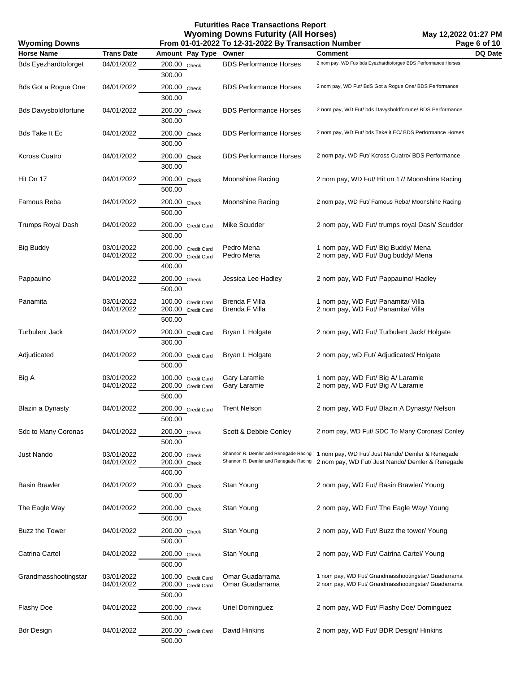| From 01-01-2022 To 12-31-2022 By Transaction Number<br><b>Wyoming Downs</b> |                          |                                                    | Page 6 of 10                                                                   |                                                                                                            |         |
|-----------------------------------------------------------------------------|--------------------------|----------------------------------------------------|--------------------------------------------------------------------------------|------------------------------------------------------------------------------------------------------------|---------|
| <b>Horse Name</b>                                                           | <b>Trans Date</b>        | Amount Pay Type                                    | Owner                                                                          | <b>Comment</b>                                                                                             | DQ Date |
| <b>Bds Eyezhardtoforget</b>                                                 | 04/01/2022               | 200.00 Check<br>300.00                             | <b>BDS Performance Horses</b>                                                  | 2 nom pay, WD Fut/ bds Eyezhardtoforget/ BDS Performance Horses                                            |         |
| <b>Bds Got a Rogue One</b>                                                  | 04/01/2022               | 200.00 Check<br>300.00                             | <b>BDS Performance Horses</b>                                                  | 2 nom pay, WD Fut/ BdS Got a Rogue One/ BDS Performance                                                    |         |
| <b>Bds Davysboldfortune</b>                                                 | 04/01/2022               | 200.00 Check<br>300.00                             | <b>BDS Performance Horses</b>                                                  | 2 nom pay, WD Fut/ bds Davysboldfortune/ BDS Performance                                                   |         |
| Bds Take It Ec                                                              | 04/01/2022               | 200.00 Check<br>300.00                             | <b>BDS Performance Horses</b>                                                  | 2 nom pay, WD Fut/ bds Take it EC/ BDS Performance Horses                                                  |         |
| Kcross Cuatro                                                               | 04/01/2022               | 200.00 Check<br>300.00                             | <b>BDS Performance Horses</b>                                                  | 2 nom pay, WD Fut/ Kcross Cuatro/ BDS Performance                                                          |         |
| Hit On 17                                                                   | 04/01/2022               | 200.00 Check<br>500.00                             | Moonshine Racing                                                               | 2 nom pay, WD Fut/ Hit on 17/ Moonshine Racing                                                             |         |
| Famous Reba                                                                 | 04/01/2022               | 200.00 Check<br>500.00                             | Moonshine Racing                                                               | 2 nom pay, WD Fut/ Famous Reba/ Moonshine Racing                                                           |         |
| Trumps Royal Dash                                                           | 04/01/2022               | 200.00 Credit Card<br>300.00                       | Mike Scudder                                                                   | 2 nom pay, WD Fut/ trumps royal Dash/ Scudder                                                              |         |
| <b>Big Buddy</b>                                                            | 03/01/2022<br>04/01/2022 | 200.00 Credit Card<br>200.00 Credit Card<br>400.00 | Pedro Mena<br>Pedro Mena                                                       | 1 nom pay, WD Fut/ Big Buddy/ Mena<br>2 nom pay, WD Fut/ Bug buddy/ Mena                                   |         |
| Pappauino                                                                   | 04/01/2022               | 200.00 Check<br>500.00                             | Jessica Lee Hadley                                                             | 2 nom pay, WD Fut/ Pappauino/ Hadley                                                                       |         |
| Panamita                                                                    | 03/01/2022<br>04/01/2022 | 100.00 Credit Card<br>200.00 Credit Card<br>500.00 | Brenda F Villa<br>Brenda F Villa                                               | 1 nom pay, WD Fut/ Panamita/ Villa<br>2 nom pay, WD Fut/ Panamita/ Villa                                   |         |
| <b>Turbulent Jack</b>                                                       | 04/01/2022               | 200.00 Credit Card<br>300.00                       | Bryan L Holgate                                                                | 2 nom pay, WD Fut/ Turbulent Jack/ Holgate                                                                 |         |
| Adjudicated                                                                 | 04/01/2022               | 200.00 Credit Card<br>500.00                       | Bryan L Holgate                                                                | 2 nom pay, wD Fut/ Adjudicated/ Holgate                                                                    |         |
| Big A                                                                       | 03/01/2022<br>04/01/2022 | 100.00 Credit Card<br>200.00 Credit Card<br>500.00 | Gary Laramie<br>Gary Laramie                                                   | 1 nom pay, WD Fut/ Big A/ Laramie<br>2 nom pay, WD Fut/ Big A/ Laramie                                     |         |
| Blazin a Dynasty                                                            | 04/01/2022               | 200.00 Credit Card<br>500.00                       | <b>Trent Nelson</b>                                                            | 2 nom pay, WD Fut/ Blazin A Dynasty/ Nelson                                                                |         |
| Sdc to Many Coronas                                                         | 04/01/2022               | 200.00 Check<br>500.00                             | Scott & Debbie Conley                                                          | 2 nom pay, WD Fut/ SDC To Many Coronas/ Conley                                                             |         |
| Just Nando                                                                  | 03/01/2022<br>04/01/2022 | 200.00 Check<br>200.00 Check<br>400.00             | Shannon R. Demler and Renegade Racing<br>Shannon R. Demler and Renegade Racing | 1 nom pay, WD Fut/ Just Nando/ Demler & Renegade<br>2 nom pay, WD Fut/ Just Nando/ Demler & Renegade       |         |
| <b>Basin Brawler</b>                                                        | 04/01/2022               | 200.00 Check<br>500.00                             | Stan Young                                                                     | 2 nom pay, WD Fut/ Basin Brawler/ Young                                                                    |         |
| The Eagle Way                                                               | 04/01/2022               | 200.00 Check<br>500.00                             | Stan Young                                                                     | 2 nom pay, WD Fut/ The Eagle Way/ Young                                                                    |         |
| Buzz the Tower                                                              | 04/01/2022               | 200.00 Check<br>500.00                             | Stan Young                                                                     | 2 nom pay, WD Fut/ Buzz the tower/ Young                                                                   |         |
| Catrina Cartel                                                              | 04/01/2022               | 200.00 Check<br>500.00                             | Stan Young                                                                     | 2 nom pay, WD Fut/ Catrina Cartel/ Young                                                                   |         |
| Grandmasshootingstar                                                        | 03/01/2022<br>04/01/2022 | 100.00 Credit Card<br>200.00 Credit Card<br>500.00 | Omar Guadarrama<br>Omar Guadarrama                                             | 1 nom pay, WD Fut/ Grandmasshootingstar/ Guadarrama<br>2 nom pay, WD Fut/ Grandmasshootingstar/ Guadarrama |         |
| Flashy Doe                                                                  | 04/01/2022               | $200.00$ Check<br>500.00                           | Uriel Dominguez                                                                | 2 nom pay, WD Fut/ Flashy Doe/ Dominguez                                                                   |         |
| <b>Bdr Design</b>                                                           | 04/01/2022               | 200.00 Credit Card<br>500.00                       | David Hinkins                                                                  | 2 nom pay, WD Fut/ BDR Design/ Hinkins                                                                     |         |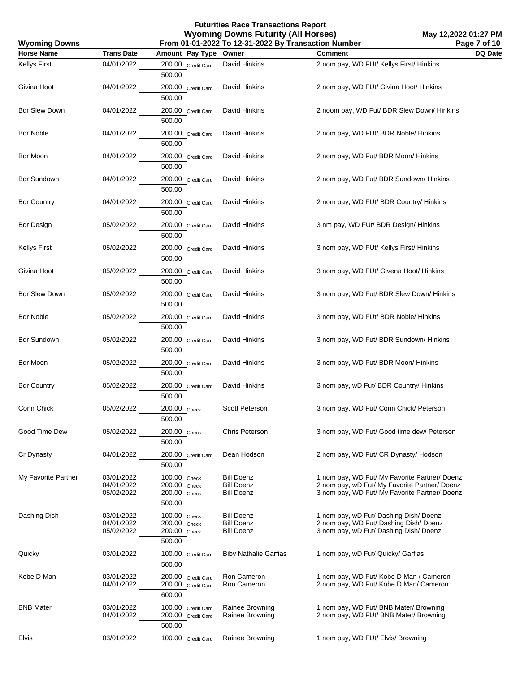**Futurities Race Transactions Report Wyoming Downs Futurity (All Horses) From 01-01-2022 To 12-31-2022 By Transaction Number**

**May 12,2022 01:27 PM Page 7 of 10**

| <b>Wyoming Downs</b> |                                        | From 01-01-2022 To 12-31-2022 By Transaction Number    |                                                             |                                                                                                                                                 |                         |  |
|----------------------|----------------------------------------|--------------------------------------------------------|-------------------------------------------------------------|-------------------------------------------------------------------------------------------------------------------------------------------------|-------------------------|--|
| <b>Horse Name</b>    | <b>Trans Date</b>                      | Amount Pay Type                                        | Owner                                                       | <b>Comment</b>                                                                                                                                  | Page 7 of 10<br>DQ Date |  |
| <b>Kellys First</b>  | 04/01/2022                             | 200.00 Credit Card<br>500.00                           | David Hinkins                                               | 2 nom pay, WD FUt/ Kellys First/ Hinkins                                                                                                        |                         |  |
| Givina Hoot          | 04/01/2022                             | 200.00 Credit Card<br>500.00                           | David Hinkins                                               | 2 nom pay, WD FUt/ Givina Hoot/ Hinkins                                                                                                         |                         |  |
| <b>Bdr Slew Down</b> | 04/01/2022                             | 200.00 Credit Card<br>500.00                           | David Hinkins                                               | 2 noom pay, WD Fut/ BDR Slew Down/ Hinkins                                                                                                      |                         |  |
| <b>Bdr Noble</b>     | 04/01/2022                             | 200.00 Credit Card<br>500.00                           | David Hinkins                                               | 2 nom pay, WD FUt/ BDR Noble/ Hinkins                                                                                                           |                         |  |
| Bdr Moon             | 04/01/2022                             | 200.00 Credit Card<br>500.00                           | David Hinkins                                               | 2 nom pay, WD Fut/ BDR Moon/ Hinkins                                                                                                            |                         |  |
| Bdr Sundown          | 04/01/2022                             | 200.00 Credit Card<br>500.00                           | David Hinkins                                               | 2 nom pay, WD Fut/ BDR Sundown/ Hinkins                                                                                                         |                         |  |
| <b>Bdr Country</b>   | 04/01/2022                             | 200.00 Credit Card<br>500.00                           | David Hinkins                                               | 2 nom pay, WD FUt/ BDR Country/ Hinkins                                                                                                         |                         |  |
| <b>Bdr Design</b>    | 05/02/2022                             | 200.00 Credit Card<br>500.00                           | David Hinkins                                               | 3 nm pay, WD FUt/ BDR Design/ Hinkins                                                                                                           |                         |  |
| <b>Kellys First</b>  | 05/02/2022                             | 200.00 Credit Card<br>500.00                           | David Hinkins                                               | 3 nom pay, WD FUt/ Kellys First/ Hinkins                                                                                                        |                         |  |
| Givina Hoot          | 05/02/2022                             | 200.00 Credit Card<br>500.00                           | David Hinkins                                               | 3 nom pay, WD FUt/ Givena Hoot/ Hinkins                                                                                                         |                         |  |
| <b>Bdr Slew Down</b> | 05/02/2022                             | 200.00 Credit Card<br>500.00                           | David Hinkins                                               | 3 nom pay, WD Fut/ BDR Slew Down/ Hinkins                                                                                                       |                         |  |
| <b>Bdr Noble</b>     | 05/02/2022                             | 200.00 Credit Card<br>500.00                           | David Hinkins                                               | 3 nom pay, WD FUt/ BDR Noble/ Hinkins                                                                                                           |                         |  |
| Bdr Sundown          | 05/02/2022                             | 200.00 Credit Card<br>500.00                           | David Hinkins                                               | 3 nom pay, WD Fut/ BDR Sundown/ Hinkins                                                                                                         |                         |  |
| Bdr Moon             | 05/02/2022                             | 200.00 Credit Card<br>500.00                           | David Hinkins                                               | 3 nom pay, WD Fut/ BDR Moon/ Hinkins                                                                                                            |                         |  |
| <b>Bdr Country</b>   | 05/02/2022                             | 200.00 Credit Card<br>500.00                           | David Hinkins                                               | 3 nom pay, wD Fut/ BDR Country/ Hinkins                                                                                                         |                         |  |
| Conn Chick           | 05/02/2022                             | 200.00 Check<br>500.00                                 | Scott Peterson                                              | 3 nom pay, WD Fut/ Conn Chick/ Peterson                                                                                                         |                         |  |
| Good Time Dew        | 05/02/2022                             | 200.00 Check<br>500.00                                 | <b>Chris Peterson</b>                                       | 3 nom pay, WD Fut/ Good time dew/ Peterson                                                                                                      |                         |  |
| Cr Dynasty           | 04/01/2022                             | 200.00 Credit Card<br>500.00                           | Dean Hodson                                                 | 2 nom pay, WD Fut/ CR Dynasty/ Hodson                                                                                                           |                         |  |
| My Favorite Partner  | 03/01/2022<br>04/01/2022<br>05/02/2022 | 100.00 Check<br>200.00 Check<br>200.00 Check<br>500.00 | <b>Bill Doenz</b><br><b>Bill Doenz</b><br><b>Bill Doenz</b> | 1 nom pay, WD Fut/ My Favorite Partner/ Doenz<br>2 nom pay, wD Fut/ My Favorite Partner/ Doenz<br>3 nom pay, WD Fut/ My Favorite Partner/ Doenz |                         |  |
| Dashing Dish         | 03/01/2022<br>04/01/2022<br>05/02/2022 | 100.00 Check<br>200.00 Check<br>200.00 Check<br>500.00 | <b>Bill Doenz</b><br><b>Bill Doenz</b><br><b>Bill Doenz</b> | 1 nom pay, wD Fut/ Dashing Dish/ Doenz<br>2 nom pay, WD Fut/ Dashing Dish/ Doenz<br>3 nom pay, wD Fut/ Dashing Dish/ Doenz                      |                         |  |
| Quicky               | 03/01/2022                             | 100.00 Credit Card<br>500.00                           | <b>Biby Nathalie Garfias</b>                                | 1 nom pay, wD Fut/ Quicky/ Garfias                                                                                                              |                         |  |
| Kobe D Man           | 03/01/2022<br>04/01/2022               | 200.00 Credit Card<br>200.00 Credit Card<br>600.00     | Ron Cameron<br>Ron Cameron                                  | 1 nom pay, WD Fut/ Kobe D Man / Cameron<br>2 nom pay, WD Fut/ Kobe D Man/ Cameron                                                               |                         |  |
| <b>BNB Mater</b>     | 03/01/2022<br>04/01/2022               | 100.00 Credit Card<br>200.00 Credit Card<br>500.00     | Rainee Browning<br>Rainee Browning                          | 1 nom pay, WD Fut/ BNB Mater/ Browning<br>2 nom pay, WD FUt/ BNB Mater/ Browning                                                                |                         |  |
| Elvis                | 03/01/2022                             | 100.00 Credit Card                                     | Rainee Browning                                             | 1 nom pay, WD FUt/ Elvis/ Browning                                                                                                              |                         |  |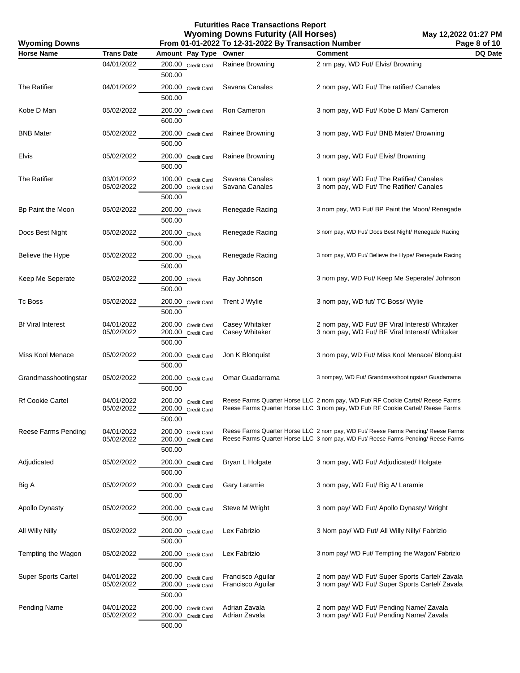**May 12,2022 01:27 PM Page 8 of 10**

| <b>Wyoming Downs</b>       |                          |                                                    | From 01-01-2022 To 12-31-2022 By Transaction Number |                                                                                                                                                                        | Page 8 of 10   |
|----------------------------|--------------------------|----------------------------------------------------|-----------------------------------------------------|------------------------------------------------------------------------------------------------------------------------------------------------------------------------|----------------|
| <b>Horse Name</b>          | <b>Trans Date</b>        | Amount Pay Type                                    | Owner                                               | <b>Comment</b>                                                                                                                                                         | <b>DQ Date</b> |
|                            | 04/01/2022               | 200.00 Credit Card<br>500.00                       | Rainee Browning                                     | 2 nm pay, WD Fut/ Elvis/ Browning                                                                                                                                      |                |
| <b>The Ratifier</b>        | 04/01/2022               | 200.00 Credit Card<br>500.00                       | Savana Canales                                      | 2 nom pay, WD Fut/ The ratifier/ Canales                                                                                                                               |                |
| Kobe D Man                 | 05/02/2022               | 200.00 Credit Card<br>600.00                       | Ron Cameron                                         | 3 nom pay, WD Fut/ Kobe D Man/ Cameron                                                                                                                                 |                |
| <b>BNB Mater</b>           | 05/02/2022               | 200.00 Credit Card<br>500.00                       | Rainee Browning                                     | 3 nom pay, WD Fut/ BNB Mater/ Browning                                                                                                                                 |                |
| Elvis                      | 05/02/2022               | 200.00 Credit Card<br>500.00                       | Rainee Browning                                     | 3 nom pay, WD Fut/ Elvis/ Browning                                                                                                                                     |                |
| The Ratifier               | 03/01/2022<br>05/02/2022 | 100.00 Credit Card<br>200.00 Credit Card<br>500.00 | Savana Canales<br>Savana Canales                    | 1 nom pay/ WD Fut/ The Ratifier/ Canales<br>3 nom pay, WD Fut/ The Ratifier/ Canales                                                                                   |                |
| Bp Paint the Moon          | 05/02/2022               | 200.00 Check<br>500.00                             | Renegade Racing                                     | 3 nom pay, WD Fut/ BP Paint the Moon/ Renegade                                                                                                                         |                |
| Docs Best Night            | 05/02/2022               | 200.00 Check<br>500.00                             | Renegade Racing                                     | 3 nom pay, WD Fut/ Docs Best Night/ Renegade Racing                                                                                                                    |                |
| Believe the Hype           | 05/02/2022               | 200.00 Check<br>500.00                             | Renegade Racing                                     | 3 nom pay, WD Fut/ Believe the Hype/ Renegade Racing                                                                                                                   |                |
| Keep Me Seperate           | 05/02/2022               | 200.00 Check<br>500.00                             | Ray Johnson                                         | 3 nom pay, WD Fut/ Keep Me Seperate/ Johnson                                                                                                                           |                |
| Tc Boss                    | 05/02/2022               | 200.00 Credit Card<br>500.00                       | Trent J Wylie                                       | 3 nom pay, WD fut/ TC Boss/ Wylie                                                                                                                                      |                |
| <b>Bf Viral Interest</b>   | 04/01/2022<br>05/02/2022 | 200.00 Credit Card<br>200.00 Credit Card<br>500.00 | Casey Whitaker<br>Casey Whitaker                    | 2 nom pay, WD Fut/ BF Viral Interest/ Whitaker<br>3 nom pay, WD Fut/ BF Viral Interest/ Whitaker                                                                       |                |
| Miss Kool Menace           | 05/02/2022               | 200.00 Credit Card<br>500.00                       | Jon K Blonquist                                     | 3 nom pay, WD Fut/ Miss Kool Menace/ Blonquist                                                                                                                         |                |
| Grandmasshootingstar       | 05/02/2022               | 200.00 Credit Card<br>500.00                       | Omar Guadarrama                                     | 3 nompay, WD Fut/ Grandmasshootingstar/ Guadarrama                                                                                                                     |                |
| Rf Cookie Cartel           | 04/01/2022<br>05/02/2022 | 200.00 Credit Card<br>200.00 Credit Card<br>500.00 |                                                     | Reese Farms Quarter Horse LLC 2 nom pay, WD Fut/ RF Cookie Cartel/ Reese Farms<br>Reese Farms Quarter Horse LLC 3 nom pay, WD Fut/ RF Cookie Cartel/ Reese Farms       |                |
| Reese Farms Pending        | 04/01/2022<br>05/02/2022 | 200.00 Credit Card<br>200.00 Credit Card<br>500.00 |                                                     | Reese Farms Quarter Horse LLC 2 nom pay, WD Fut/ Reese Farms Pending/ Reese Farms<br>Reese Farms Quarter Horse LLC 3 nom pay, WD Fut/ Reese Farms Pending/ Reese Farms |                |
| Adjudicated                | 05/02/2022               | 200.00 Credit Card<br>500.00                       | Bryan L Holgate                                     | 3 nom pay, WD Fut/ Adjudicated/ Holgate                                                                                                                                |                |
| Big A                      | 05/02/2022               | 200.00 Credit Card<br>500.00                       | Gary Laramie                                        | 3 nom pay, WD Fut/ Big A/ Laramie                                                                                                                                      |                |
| Apollo Dynasty             | 05/02/2022               | 200.00 Credit Card<br>500.00                       | Steve M Wright                                      | 3 nom pay/ WD Fut/ Apollo Dynasty/ Wright                                                                                                                              |                |
| All Willy Nilly            | 05/02/2022               | 200.00 Credit Card<br>500.00                       | Lex Fabrizio                                        | 3 Nom pay/ WD Fut/ All Willy Nilly/ Fabrizio                                                                                                                           |                |
| Tempting the Wagon         | 05/02/2022               | 200.00 Credit Card<br>500.00                       | Lex Fabrizio                                        | 3 nom pay/ WD Fut/ Tempting the Wagon/ Fabrizio                                                                                                                        |                |
| <b>Super Sports Cartel</b> | 04/01/2022<br>05/02/2022 | 200.00 Credit Card<br>200.00 Credit Card<br>500.00 | Francisco Aguilar<br>Francisco Aguilar              | 2 nom pay/ WD Fut/ Super Sports Cartel/ Zavala<br>3 nom pay/ WD Fut/ Super Sports Cartel/ Zavala                                                                       |                |
| <b>Pending Name</b>        | 04/01/2022<br>05/02/2022 | 200.00 Credit Card<br>200.00 Credit Card<br>500.00 | Adrian Zavala<br>Adrian Zavala                      | 2 nom pay/ WD Fut/ Pending Name/ Zavala<br>3 nom pay/ WD Fut/ Pending Name/ Zavala                                                                                     |                |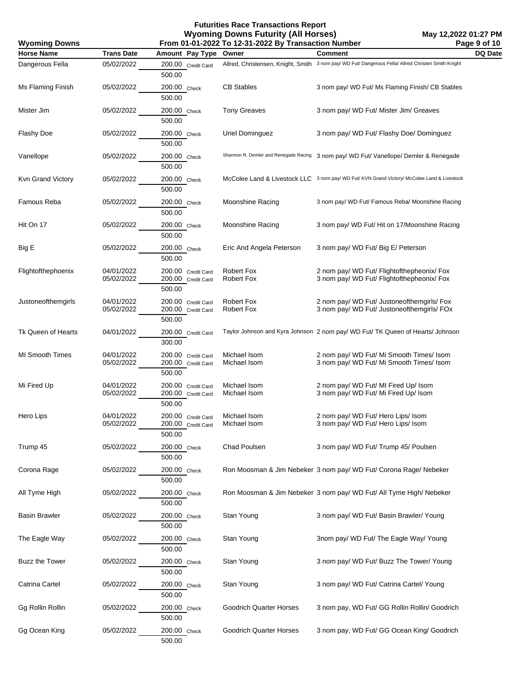**Futurities Race Transactions Report Wyoming Downs Futurity (All Horses) From 01-01-2022 To 12-31-2022 By Transaction Number**

**Wyoming Downs**

| <b>Horse Name</b>      | <b>Trans Date</b>        | Amount Pay Type                                    | Owner                                  | <b>Comment</b>                                                                                      | DQ Date |
|------------------------|--------------------------|----------------------------------------------------|----------------------------------------|-----------------------------------------------------------------------------------------------------|---------|
| Dangerous Fella        | 05/02/2022               | 200.00 Credit Card<br>500.00                       |                                        | Allred, Christensen, Knight, Smith 3 nom pay/ WD Fut/ Dangerous Fella/ Allred Christen Smith Knight |         |
| Ms Flaming Finish      | 05/02/2022               | 200.00 Check<br>500.00                             | <b>CB Stables</b>                      | 3 nom pay/ WD Fut/ Ms Flaming Finish/ CB Stables                                                    |         |
| Mister Jim             | 05/02/2022               | 200.00 Check<br>500.00                             | <b>Tony Greaves</b>                    | 3 nom pay/ WD Fut/ Mister Jim/ Greaves                                                              |         |
| Flashy Doe             | 05/02/2022               | 200.00 Check<br>500.00                             | Uriel Dominguez                        | 3 nom pay/ WD Fut/ Flashy Doe/ Dominguez                                                            |         |
| Vanellope              | 05/02/2022               | 200.00 Check<br>500.00                             |                                        | Shannon R. Demler and Renegade Racing 3 nom pay/ WD Fut/ Vanellope/ Demler & Renegade               |         |
| Kvn Grand Victory      | 05/02/2022               | 200.00 Check<br>500.00                             |                                        | McColee Land & Livestock LLC 3 nom pay/ WD Fut/ KVN Grand Victory/ McColee Land & Livestock         |         |
| Famous Reba            | 05/02/2022               | 200.00 Check<br>500.00                             | Moonshine Racing                       | 3 nom pay/ WD Fut/ Famous Reba/ Moonshine Racing                                                    |         |
| Hit On 17              | 05/02/2022               | 200.00 Check<br>500.00                             | Moonshine Racing                       | 3 nom pay/ WD Fut/ Hit on 17/Moonshine Racing                                                       |         |
| Big E                  | 05/02/2022               | 200.00 Check<br>500.00                             | Eric And Angela Peterson               | 3 nom pay/ WD Fut/ Big E/ Peterson                                                                  |         |
| Flightofthephoenix     | 04/01/2022<br>05/02/2022 | 200.00 Credit Card<br>200.00 Credit Card<br>500.00 | <b>Robert Fox</b><br><b>Robert Fox</b> | 2 nom pay/ WD Fut/ Flightofthepheonix/ Fox<br>3 nom pay/ WD Fut/ Flightofthepheonix/ Fox            |         |
| Justoneofthemgirls     | 04/01/2022<br>05/02/2022 | 200.00 Credit Card<br>200.00 Credit Card<br>500.00 | <b>Robert Fox</b><br><b>Robert Fox</b> | 2 nom pay/ WD Fut/ Justoneofthemgirls/ Fox<br>3 nom pay/ WD Fut/ Justoneofthemgirls/ FOx            |         |
| Tk Queen of Hearts     | 04/01/2022               | 200.00 Credit Card<br>300.00                       |                                        | Taylor Johnson and Kyra Johnson 2 nom pay/ WD Fut/ TK Queen of Hearts/ Johnson                      |         |
| <b>MI Smooth Times</b> | 04/01/2022<br>05/02/2022 | 200.00 Credit Card<br>200.00 Credit Card<br>500.00 | Michael Isom<br>Michael Isom           | 2 nom pay/ WD Fut/ Mi Smooth Times/ Isom<br>3 nom pay/ WD Fut/ Mi Smooth Times/ Isom                |         |
| Mi Fired Up            | 04/01/2022<br>05/02/2022 | 200.00 Credit Card<br>200.00 Credit Card<br>500.00 | Michael Isom<br>Michael Isom           | 2 nom pay/ WD Fut/ MI Fired Up/ Isom<br>3 nom pay/ WD Fut/ Mi Fired Up/ Isom                        |         |
| Hero Lips              | 04/01/2022<br>05/02/2022 | 200.00 Credit Card<br>200.00 Credit Card<br>500.00 | Michael Isom<br>Michael Isom           | 2 nom pay/ WD Fut/ Hero Lips/ Isom<br>3 nom pay/ WD Fut/ Hero Lips/ Isom                            |         |
| Trump 45               | 05/02/2022               | 200.00 Check<br>500.00                             | Chad Poulsen                           | 3 nom pay/ WD Fut/ Trump 45/ Poulsen                                                                |         |
| Corona Rage            | 05/02/2022               | 200.00 Check<br>500.00                             |                                        | Ron Moosman & Jim Nebeker 3 nom pay/ WD Fut/ Corona Rage/ Nebeker                                   |         |
| All Tyme High          | 05/02/2022               | 200.00 Check<br>500.00                             |                                        | Ron Moosman & Jim Nebeker 3 nom pay/ WD Fut/ All Tyme High/ Nebeker                                 |         |
| <b>Basin Brawler</b>   | 05/02/2022               | 200.00 Check<br>500.00                             | Stan Young                             | 3 nom pay/ WD Fut/ Basin Brawler/ Young                                                             |         |
| The Eagle Way          | 05/02/2022               | 200.00 Check<br>500.00                             | Stan Young                             | 3nom pay/ WD Fut/ The Eagle Way/ Young                                                              |         |
| Buzz the Tower         | 05/02/2022               | 200.00 Check<br>500.00                             | Stan Young                             | 3 nom pay/ WD Fut/ Buzz The Tower/ Young                                                            |         |
| Catrina Cartel         | 05/02/2022               | 200.00 Check<br>500.00                             | Stan Young                             | 3 nom pay/ WD Fut/ Catrina Cartel/ Young                                                            |         |
| Gg Rollin Rollin       | 05/02/2022               | 200.00 Check<br>500.00                             | <b>Goodrich Quarter Horses</b>         | 3 nom pay, WD Fut/ GG Rollin Rollin/ Goodrich                                                       |         |
| Gg Ocean King          | 05/02/2022               | 200.00 Check<br>500.00                             | <b>Goodrich Quarter Horses</b>         | 3 nom pay, WD Fut/ GG Ocean King/ Goodrich                                                          |         |